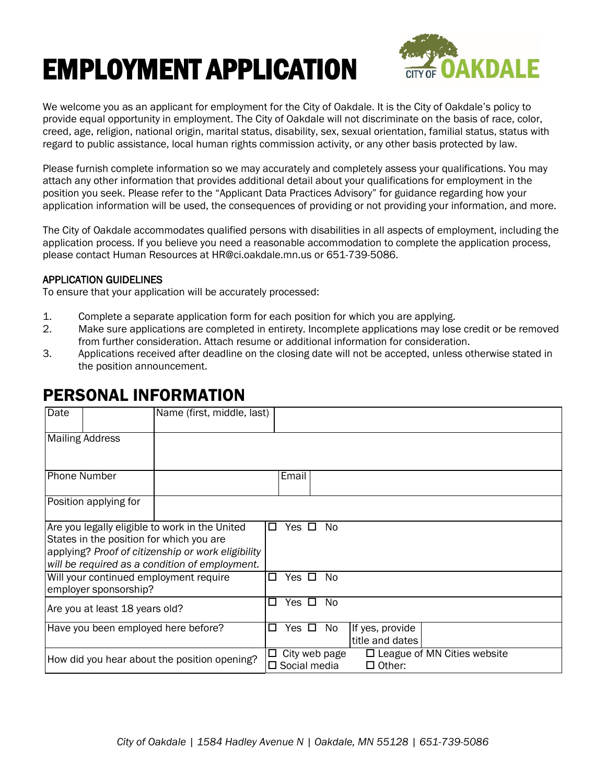# EMPLOYMENT APPLICATION



We welcome you as an applicant for employment for the City of Oakdale. It is the City of Oakdale's policy to provide equal opportunity in employment. The City of Oakdale will not discriminate on the basis of race, color, creed, age, religion, national origin, marital status, disability, sex, sexual orientation, familial status, status with regard to public assistance, local human rights commission activity, or any other basis protected by law.

Please furnish complete information so we may accurately and completely assess your qualifications. You may attach any other information that provides additional detail about your qualifications for employment in the position you seek. Please refer to the "Applicant Data Practices Advisory" for guidance regarding how your application information will be used, the consequences of providing or not providing your information, and more.

The City of Oakdale accommodates qualified persons with disabilities in all aspects of employment, including the application process. If you believe you need a reasonable accommodation to complete the application process, please contact Human Resources at [HR@ci.oakdale.mn.us](mailto:HR@ci.oakdale.mn.us) or 651-739-5086.

#### APPLICATION GUIDELINES

To ensure that your application will be accurately processed:

- 1. Complete a separate application form for each position for which you are applying.
- 2. Make sure applications are completed in entirety. Incomplete applications may lose credit or be removed from further consideration. Attach resume or additional information for consideration.
- 3. Applications received after deadline on the closing date will not be accepted, unless otherwise stated in the position announcement.

### PERSONAL INFORMATION

| Date                                                                                                                                                                                               | Name (first, middle, last) |                                                                                                          |
|----------------------------------------------------------------------------------------------------------------------------------------------------------------------------------------------------|----------------------------|----------------------------------------------------------------------------------------------------------|
| <b>Mailing Address</b>                                                                                                                                                                             |                            |                                                                                                          |
| <b>Phone Number</b>                                                                                                                                                                                |                            | Email                                                                                                    |
| Position applying for                                                                                                                                                                              |                            |                                                                                                          |
| Are you legally eligible to work in the United<br>States in the position for which you are<br>applying? Proof of citizenship or work eligibility<br>will be required as a condition of employment. |                            | No.<br>Yes □<br>П                                                                                        |
| Will your continued employment require<br>employer sponsorship?                                                                                                                                    |                            | Yes $\Box$<br>No.<br>П                                                                                   |
| Are you at least 18 years old?                                                                                                                                                                     |                            | Yes $\Box$<br>No.<br>П                                                                                   |
| Have you been employed here before?                                                                                                                                                                |                            | Yes $\Box$<br>No<br>If yes, provide<br>□<br>title and dates                                              |
| How did you hear about the position opening?                                                                                                                                                       |                            | $\square$ League of MN Cities website<br>$\Box$ City web page<br>$\square$ Social media<br>$\Box$ Other: |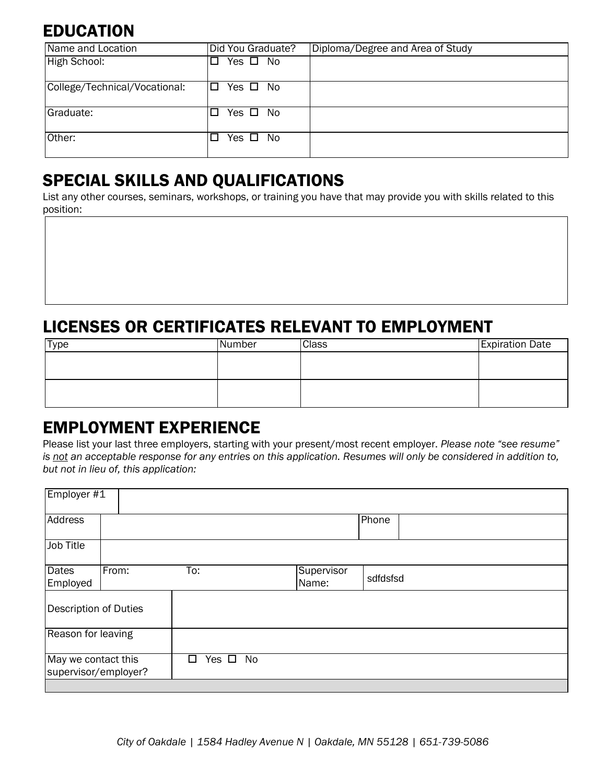# **EDUCATION**

| Name and Location             | Did You Graduate?        | Diploma/Degree and Area of Study |
|-------------------------------|--------------------------|----------------------------------|
| High School:                  | Yes $\square$ No         |                                  |
| College/Technical/Vocational: | I□ Yes □ No              |                                  |
| Graduate:                     | Yes □ No<br>$\mathbf{L}$ |                                  |
| Other:                        | Yes $\square$ No         |                                  |

# SPECIAL SKILLS AND QUALIFICATIONS

List any other courses, seminars, workshops, or training you have that may provide you with skills related to this position:

# LICENSES OR CERTIFICATES RELEVANT TO EMPLOYMENT

| Type | Number | <b>Class</b> | <b>Expiration Date</b> |
|------|--------|--------------|------------------------|
|      |        |              |                        |
|      |        |              |                        |
|      |        |              |                        |
|      |        |              |                        |

## EMPLOYMENT EXPERIENCE

Please list your last three employers, starting with your present/most recent employer. *Please note "see resume"*  is not an acceptable response for any entries on this application. Resumes will only be considered in addition to, *but not in lieu of, this application:* 

| Employer #1                                 |       |                       |                     |          |
|---------------------------------------------|-------|-----------------------|---------------------|----------|
| Address                                     |       |                       |                     | Phone    |
| <b>Job Title</b>                            |       |                       |                     |          |
| <b>Dates</b><br>Employed                    | From: | To:                   | Supervisor<br>Name: | sdfdsfsd |
| Description of Duties                       |       |                       |                     |          |
| Reason for leaving                          |       |                       |                     |          |
| May we contact this<br>supervisor/employer? |       | No<br>Yes $\Box$<br>П |                     |          |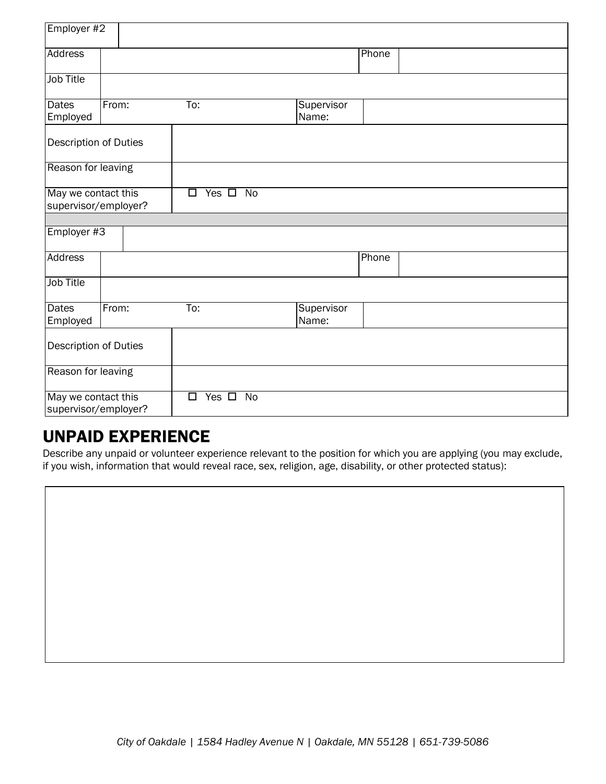| Employer #2                                 |       |                                        |                     |       |
|---------------------------------------------|-------|----------------------------------------|---------------------|-------|
| Address                                     |       |                                        |                     | Phone |
| <b>Job Title</b>                            |       |                                        |                     |       |
| <b>Dates</b><br>Employed                    | From: | To:                                    | Supervisor<br>Name: |       |
| Description of Duties                       |       |                                        |                     |       |
| Reason for leaving                          |       |                                        |                     |       |
| May we contact this<br>supervisor/employer? |       | Yes $\Box$<br>$\overline{N}$<br>$\Box$ |                     |       |
|                                             |       |                                        |                     |       |
| Employer #3                                 |       |                                        |                     |       |
| <b>Address</b>                              |       |                                        |                     | Phone |
| <b>Job Title</b>                            |       |                                        |                     |       |
| <b>Dates</b><br>Employed                    | From: | $\overline{\mathrm{To}}$ :             | Supervisor<br>Name: |       |
| Description of Duties                       |       |                                        |                     |       |
| Reason for leaving                          |       |                                        |                     |       |
| May we contact this<br>supervisor/employer? |       | Yes $\Box$<br>$\Box$<br>No             |                     |       |

### UNPAID EXPERIENCE

Describe any unpaid or volunteer experience relevant to the position for which you are applying (you may exclude, if you wish, information that would reveal race, sex, religion, age, disability, or other protected status):

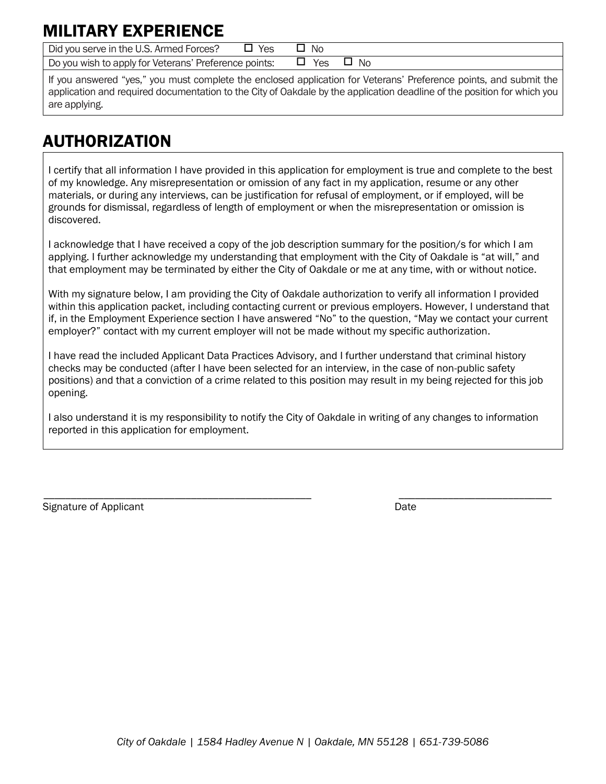# MILITARY EXPERIENC

Did you serve in the U.S. Armed Forces?  $\Box$  Yes  $\Box$  No

Do you wish to apply for Veterans' Preference points:  $\Box$  Yes  $\Box$  No

If you answered "yes," you must complete the enclosed application for Veterans' Preference points, and submit the application and required documentation to the City of Oakdale by the application deadline of the position for which you are applying.

# AUTHORIZATION

I certify that all information I have provided in this application for employment is true and complete to the best of my knowledge. Any misrepresentation or omission of any fact in my application, resume or any other materials, or during any interviews, can be justification for refusal of employment, or if employed, will be grounds for dismissal, regardless of length of employment or when the misrepresentation or omission is discovered.

I acknowledge that I have received a copy of the job description summary for the position/s for which I am applying. I further acknowledge my understanding that employment with the City of Oakdale is "at will," and that employment may be terminated by either the City of Oakdale or me at any time, with or without notice.

With my signature below, I am providing the City of Oakdale authorization to verify all information I provided within this application packet, including contacting current or previous employers. However, I understand that if, in the Employment Experience section I have answered "No" to the question, "May we contact your current employer?" contact with my current employer will not be made without my specific authorization.

I have read the included Applicant Data Practices Advisory, and I further understand that criminal history checks may be conducted (after I have been selected for an interview, in the case of non-public safety positions) and that a conviction of a crime related to this position may result in my being rejected for this job opening.

I also understand it is my responsibility to notify the City of Oakdale in writing of any changes to information reported in this application for employment.

\_\_\_\_\_\_\_\_\_\_\_\_\_\_\_\_\_\_\_\_\_\_\_\_\_\_\_\_\_\_\_\_\_\_\_\_\_\_\_\_\_\_\_\_\_\_\_\_\_ \_\_\_\_\_\_\_\_\_\_\_\_\_\_\_\_\_\_\_\_\_\_\_\_\_\_\_\_

| Signature of Applicant | Date |
|------------------------|------|
|                        |      |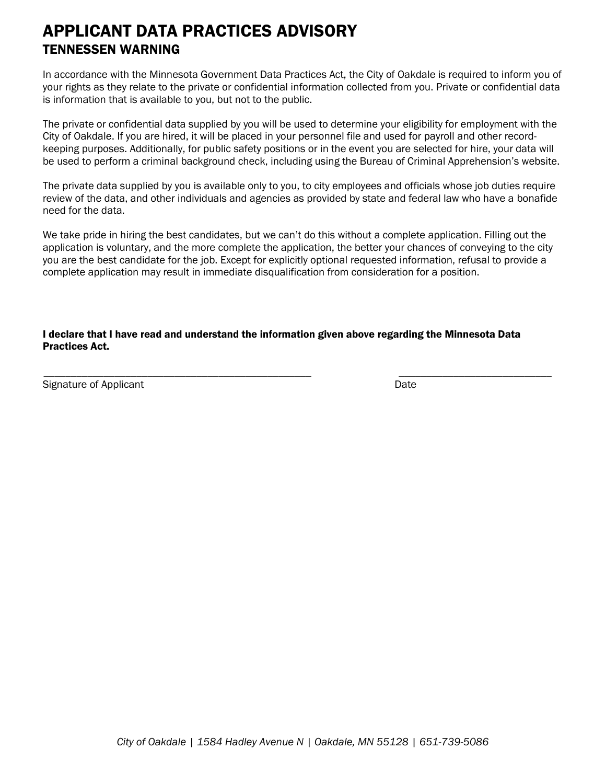## APPLICANT DATA PRACTICES ADVISORY TENNESSEN WARNING

In accordance with the Minnesota Government Data Practices Act, the City of Oakdale is required to inform you of your rights as they relate to the private or confidential information collected from you. Private or confidential data is information that is available to you, but not to the public.

The private or confidential data supplied by you will be used to determine your eligibility for employment with the City of Oakdale. If you are hired, it will be placed in your personnel file and used for payroll and other recordkeeping purposes. Additionally, for public safety positions or in the event you are selected for hire, your data will be used to perform a criminal background check, including using the Bureau of Criminal Apprehension's website.

The private data supplied by you is available only to you, to city employees and officials whose job duties require review of the data, and other individuals and agencies as provided by state and federal law who have a bonafide need for the data.

We take pride in hiring the best candidates, but we can't do this without a complete application. Filling out the application is voluntary, and the more complete the application, the better your chances of conveying to the city you are the best candidate for the job. Except for explicitly optional requested information, refusal to provide a complete application may result in immediate disqualification from consideration for a position.

#### I declare that I have read and understand the information given above regarding the Minnesota Data Practices Act.

\_\_\_\_\_\_\_\_\_\_\_\_\_\_\_\_\_\_\_\_\_\_\_\_\_\_\_\_\_\_\_\_\_\_\_\_\_\_\_\_\_\_\_\_\_\_\_\_\_ \_\_\_\_\_\_\_\_\_\_\_\_\_\_\_\_\_\_\_\_\_\_\_\_\_\_\_\_

Signature of Applicant Date